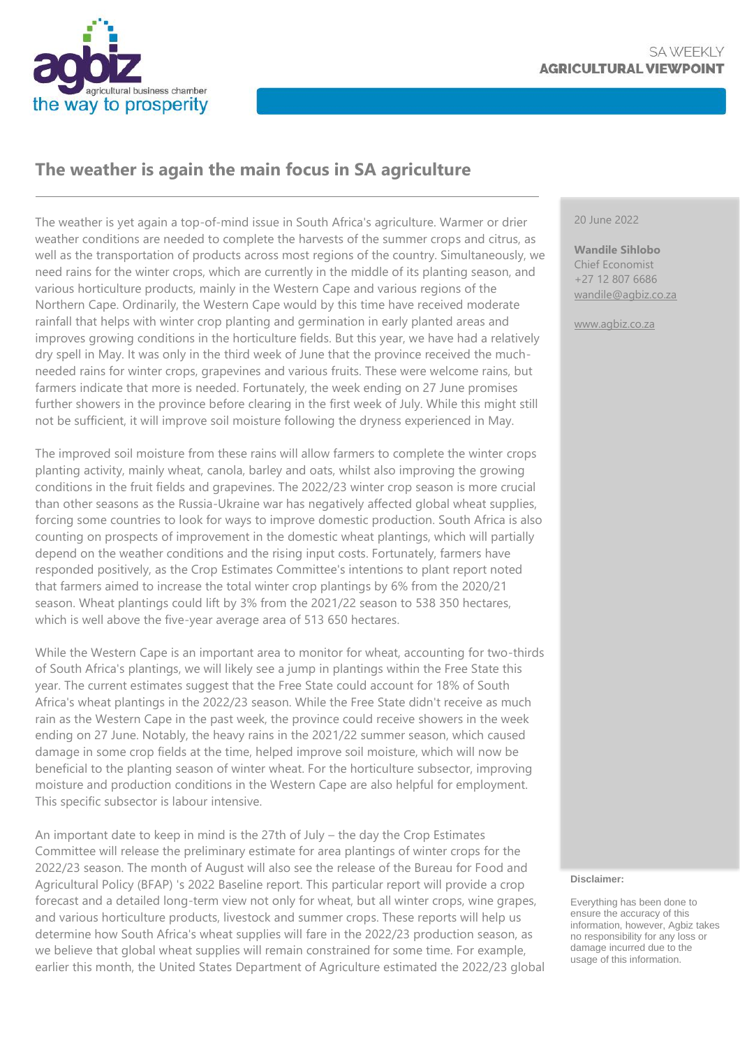

# **The weather is again the main focus in SA agriculture**

The weather is yet again a top-of-mind issue in South Africa's agriculture. Warmer or drier weather conditions are needed to complete the harvests of the summer crops and citrus, as well as the transportation of products across most regions of the country. Simultaneously, we need rains for the winter crops, which are currently in the middle of its planting season, and various horticulture products, mainly in the Western Cape and various regions of the Northern Cape. Ordinarily, the Western Cape would by this time have received moderate rainfall that helps with winter crop planting and germination in early planted areas and improves growing conditions in the horticulture fields. But this year, we have had a relatively dry spell in May. It was only in the third week of June that the province received the muchneeded rains for winter crops, grapevines and various fruits. These were welcome rains, but farmers indicate that more is needed. Fortunately, the week ending on 27 June promises further showers in the province before clearing in the first week of July. While this might still not be sufficient, it will improve soil moisture following the dryness experienced in May.

The improved soil moisture from these rains will allow farmers to complete the winter crops planting activity, mainly wheat, canola, barley and oats, whilst also improving the growing conditions in the fruit fields and grapevines. The 2022/23 winter crop season is more crucial than other seasons as the Russia-Ukraine war has negatively affected global wheat supplies, forcing some countries to look for ways to improve domestic production. South Africa is also counting on prospects of improvement in the domestic wheat plantings, which will partially depend on the weather conditions and the rising input costs. Fortunately, farmers have responded positively, as the Crop Estimates Committee's intentions to plant report noted that farmers aimed to increase the total winter crop plantings by 6% from the 2020/21 season. Wheat plantings could lift by 3% from the 2021/22 season to 538 350 hectares, which is well above the five-year average area of 513 650 hectares.

While the Western Cape is an important area to monitor for wheat, accounting for two-thirds of South Africa's plantings, we will likely see a jump in plantings within the Free State this year. The current estimates suggest that the Free State could account for 18% of South Africa's wheat plantings in the 2022/23 season. While the Free State didn't receive as much rain as the Western Cape in the past week, the province could receive showers in the week ending on 27 June. Notably, the heavy rains in the 2021/22 summer season, which caused damage in some crop fields at the time, helped improve soil moisture, which will now be beneficial to the planting season of winter wheat. For the horticulture subsector, improving moisture and production conditions in the Western Cape are also helpful for employment. This specific subsector is labour intensive.

An important date to keep in mind is the 27th of July – the day the Crop Estimates Committee will release the preliminary estimate for area plantings of winter crops for the 2022/23 season. The month of August will also see the release of the Bureau for Food and Agricultural Policy (BFAP) 's 2022 Baseline report. This particular report will provide a crop forecast and a detailed long-term view not only for wheat, but all winter crops, wine grapes, and various horticulture products, livestock and summer crops. These reports will help us determine how South Africa's wheat supplies will fare in the 2022/23 production season, as we believe that global wheat supplies will remain constrained for some time. For example, earlier this month, the United States Department of Agriculture estimated the 2022/23 global

#### 20 June 2022

**Wandile Sihlobo** Chief Economist +27 12 807 6686 [wandile@agbiz.co.za](mailto:wandile@agbiz.co.za)

[www.agbiz.co.za](http://www.agbiz.co.za/)

#### **Disclaimer:**

Everything has been done to ensure the accuracy of this information, however, Agbiz takes no responsibility for any loss or damage incurred due to the usage of this information.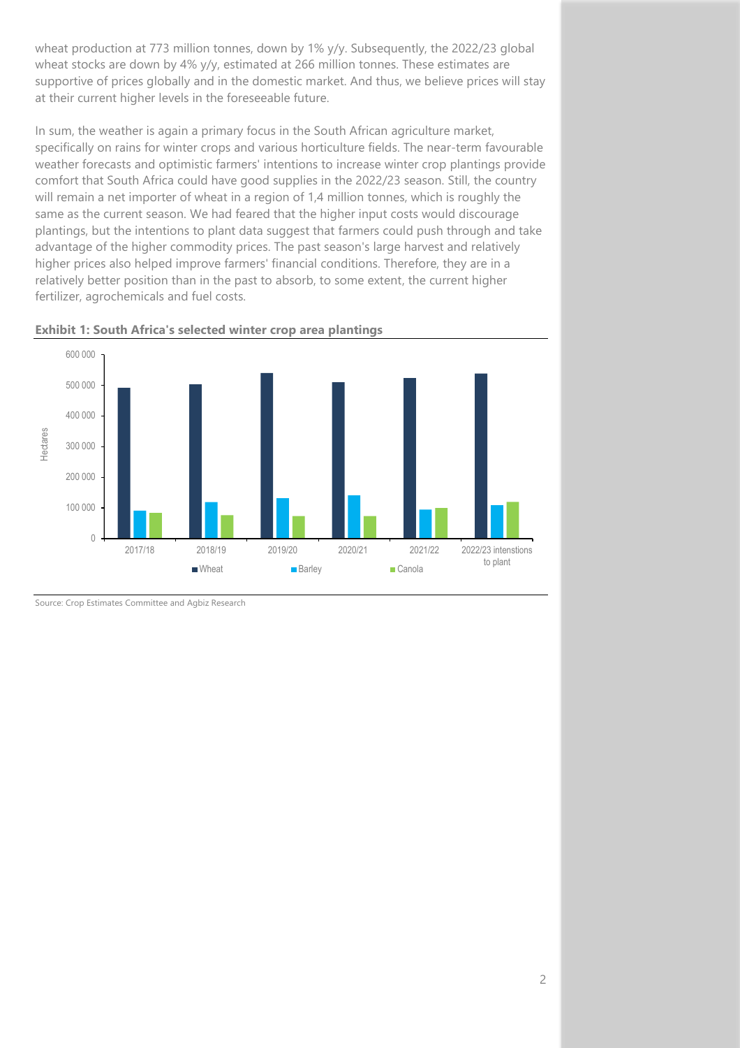wheat production at 773 million tonnes, down by 1% y/y. Subsequently, the 2022/23 global wheat stocks are down by 4% y/y, estimated at 266 million tonnes. These estimates are supportive of prices globally and in the domestic market. And thus, we believe prices will stay at their current higher levels in the foreseeable future.

In sum, the weather is again a primary focus in the South African agriculture market, specifically on rains for winter crops and various horticulture fields. The near-term favourable weather forecasts and optimistic farmers' intentions to increase winter crop plantings provide comfort that South Africa could have good supplies in the 2022/23 season. Still, the country will remain a net importer of wheat in a region of 1,4 million tonnes, which is roughly the same as the current season. We had feared that the higher input costs would discourage plantings, but the intentions to plant data suggest that farmers could push through and take advantage of the higher commodity prices. The past season's large harvest and relatively higher prices also helped improve farmers' financial conditions. Therefore, they are in a relatively better position than in the past to absorb, to some extent, the current higher fertilizer, agrochemicals and fuel costs.



**Exhibit 1: South Africa's selected winter crop area plantings** 

Source: Crop Estimates Committee and Agbiz Research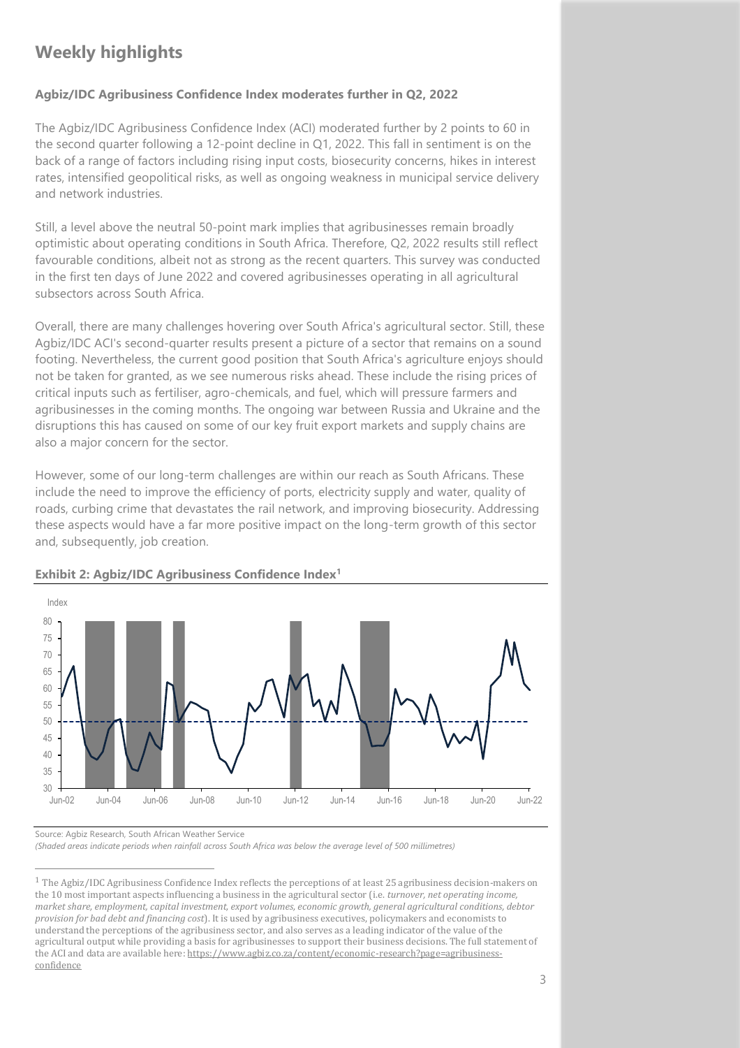# **Weekly highlights**

### **Agbiz/IDC Agribusiness Confidence Index moderates further in Q2, 2022**

The Agbiz/IDC Agribusiness Confidence Index (ACI) moderated further by 2 points to 60 in the second quarter following a 12-point decline in Q1, 2022. This fall in sentiment is on the back of a range of factors including rising input costs, biosecurity concerns, hikes in interest rates, intensified geopolitical risks, as well as ongoing weakness in municipal service delivery and network industries.

Still, a level above the neutral 50-point mark implies that agribusinesses remain broadly optimistic about operating conditions in South Africa. Therefore, Q2, 2022 results still reflect favourable conditions, albeit not as strong as the recent quarters. This survey was conducted in the first ten days of June 2022 and covered agribusinesses operating in all agricultural subsectors across South Africa.

Overall, there are many challenges hovering over South Africa's agricultural sector. Still, these Agbiz/IDC ACI's second-quarter results present a picture of a sector that remains on a sound footing. Nevertheless, the current good position that South Africa's agriculture enjoys should not be taken for granted, as we see numerous risks ahead. These include the rising prices of critical inputs such as fertiliser, agro-chemicals, and fuel, which will pressure farmers and agribusinesses in the coming months. The ongoing war between Russia and Ukraine and the disruptions this has caused on some of our key fruit export markets and supply chains are also a major concern for the sector.

However, some of our long-term challenges are within our reach as South Africans. These include the need to improve the efficiency of ports, electricity supply and water, quality of roads, curbing crime that devastates the rail network, and improving biosecurity. Addressing these aspects would have a far more positive impact on the long-term growth of this sector and, subsequently, job creation.



### **Exhibit 2: Agbiz/IDC Agribusiness Confidence Index<sup>1</sup>**

Source: Agbiz Research, South African Weather Service

*(Shaded areas indicate periods when rainfall across South Africa was below the average level of 500 millimetres)*

 $^{\rm 1}$  The Agbiz/IDC Agribusiness Confidence Index reflects the perceptions of at least 25 agribusiness decision-makers on the 10 most important aspects influencing a business in the agricultural sector (i.e. *turnover, net operating income, market share, employment, capital investment, export volumes, economic growth, general agricultural conditions, debtor provision for bad debt and financing cost*). It is used by agribusiness executives, policymakers and economists to understand the perceptions of the agribusiness sector, and also serves as a leading indicator of the value of the agricultural output while providing a basis for agribusinesses to support their business decisions. The full statement of the ACI and data are available here[: https://www.agbiz.co.za/content/economic-research?page=agribusiness](https://www.agbiz.co.za/content/economic-research?page=agribusiness-confidence)[confidence](https://www.agbiz.co.za/content/economic-research?page=agribusiness-confidence)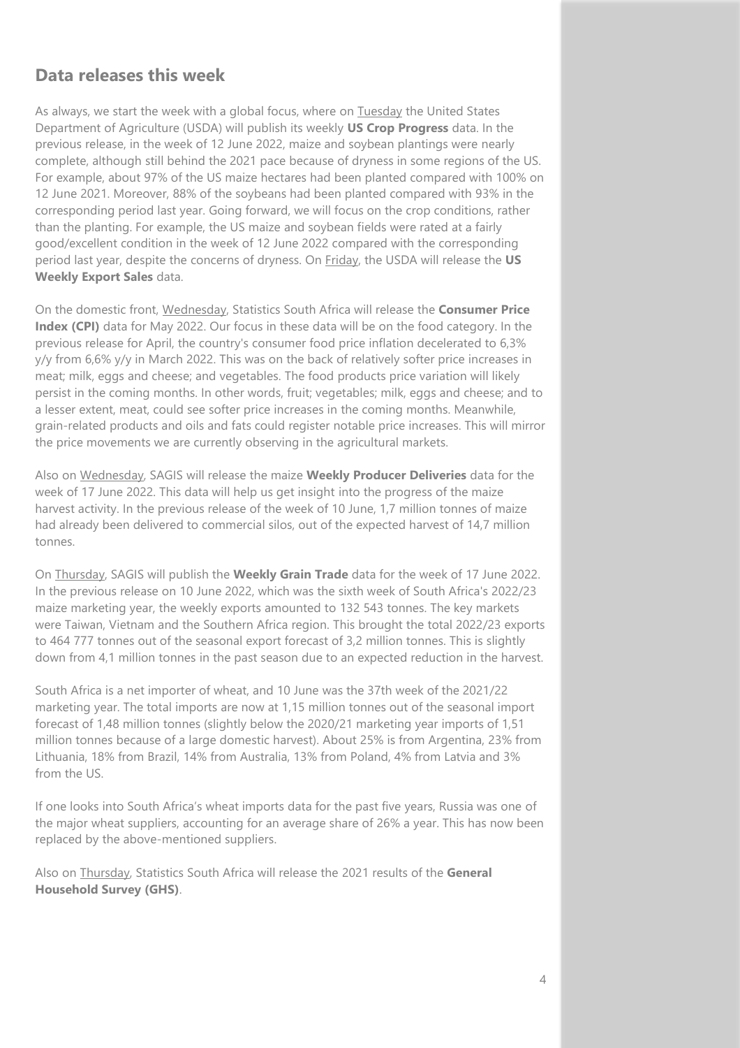### **Data releases this week**

As always, we start the week with a global focus, where on Tuesday the United States Department of Agriculture (USDA) will publish its weekly **US Crop Progress** data. In the previous release, in the week of 12 June 2022, maize and soybean plantings were nearly complete, although still behind the 2021 pace because of dryness in some regions of the US. For example, about 97% of the US maize hectares had been planted compared with 100% on 12 June 2021. Moreover, 88% of the soybeans had been planted compared with 93% in the corresponding period last year. Going forward, we will focus on the crop conditions, rather than the planting. For example, the US maize and soybean fields were rated at a fairly good/excellent condition in the week of 12 June 2022 compared with the corresponding period last year, despite the concerns of dryness. On Friday, the USDA will release the **US Weekly Export Sales** data.

On the domestic front, Wednesday, Statistics South Africa will release the **Consumer Price Index (CPI)** data for May 2022. Our focus in these data will be on the food category. In the previous release for April, the country's consumer food price inflation decelerated to 6,3%  $y/y$  from 6,6%  $y/y$  in March 2022. This was on the back of relatively softer price increases in meat; milk, eggs and cheese; and vegetables. The food products price variation will likely persist in the coming months. In other words, fruit; vegetables; milk, eggs and cheese; and to a lesser extent, meat, could see softer price increases in the coming months. Meanwhile, grain-related products and oils and fats could register notable price increases. This will mirror the price movements we are currently observing in the agricultural markets.

Also on Wednesday, SAGIS will release the maize **Weekly Producer Deliveries** data for the week of 17 June 2022. This data will help us get insight into the progress of the maize harvest activity. In the previous release of the week of 10 June, 1,7 million tonnes of maize had already been delivered to commercial silos, out of the expected harvest of 14,7 million tonnes.

On Thursday, SAGIS will publish the **Weekly Grain Trade** data for the week of 17 June 2022. In the previous release on 10 June 2022, which was the sixth week of South Africa's 2022/23 maize marketing year, the weekly exports amounted to 132 543 tonnes. The key markets were Taiwan, Vietnam and the Southern Africa region. This brought the total 2022/23 exports to 464 777 tonnes out of the seasonal export forecast of 3,2 million tonnes. This is slightly down from 4,1 million tonnes in the past season due to an expected reduction in the harvest.

South Africa is a net importer of wheat, and 10 June was the 37th week of the 2021/22 marketing year. The total imports are now at 1,15 million tonnes out of the seasonal import forecast of 1,48 million tonnes (slightly below the 2020/21 marketing year imports of 1,51 million tonnes because of a large domestic harvest). About 25% is from Argentina, 23% from Lithuania, 18% from Brazil, 14% from Australia, 13% from Poland, 4% from Latvia and 3% from the US.

If one looks into South Africa's wheat imports data for the past five years, Russia was one of the major wheat suppliers, accounting for an average share of 26% a year. This has now been replaced by the above-mentioned suppliers.

Also on Thursday, Statistics South Africa will release the 2021 results of the **General Household Survey (GHS)**.